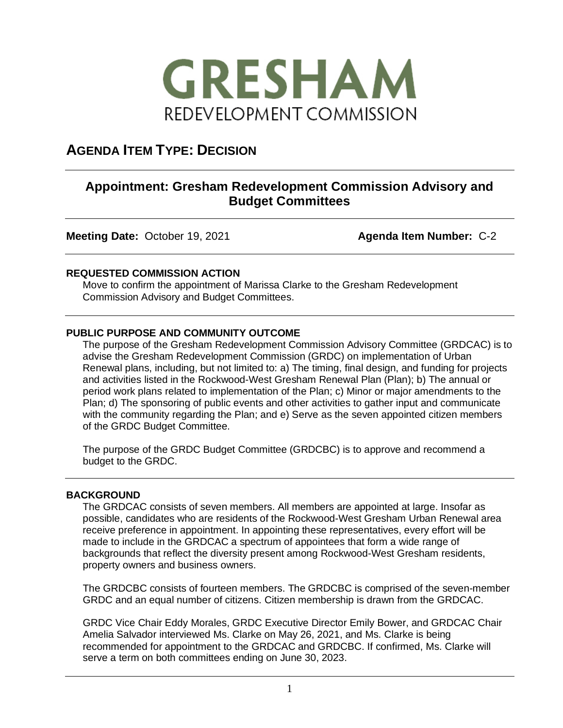

# **AGENDA ITEM TYPE: DECISION**

## **Appointment: Gresham Redevelopment Commission Advisory and Budget Committees**

**Meeting Date:** October 19, 2021 **Agenda Item Number:** C-2

## **REQUESTED COMMISSION ACTION**

Move to confirm the appointment of Marissa Clarke to the Gresham Redevelopment Commission Advisory and Budget Committees.

## **PUBLIC PURPOSE AND COMMUNITY OUTCOME**

The purpose of the Gresham Redevelopment Commission Advisory Committee (GRDCAC) is to advise the Gresham Redevelopment Commission (GRDC) on implementation of Urban Renewal plans, including, but not limited to: a) The timing, final design, and funding for projects and activities listed in the Rockwood-West Gresham Renewal Plan (Plan); b) The annual or period work plans related to implementation of the Plan; c) Minor or major amendments to the Plan; d) The sponsoring of public events and other activities to gather input and communicate with the community regarding the Plan; and e) Serve as the seven appointed citizen members of the GRDC Budget Committee.

The purpose of the GRDC Budget Committee (GRDCBC) is to approve and recommend a budget to the GRDC.

### **BACKGROUND**

The GRDCAC consists of seven members. All members are appointed at large. Insofar as possible, candidates who are residents of the Rockwood-West Gresham Urban Renewal area receive preference in appointment. In appointing these representatives, every effort will be made to include in the GRDCAC a spectrum of appointees that form a wide range of backgrounds that reflect the diversity present among Rockwood-West Gresham residents, property owners and business owners.

The GRDCBC consists of fourteen members. The GRDCBC is comprised of the seven-member GRDC and an equal number of citizens. Citizen membership is drawn from the GRDCAC.

GRDC Vice Chair Eddy Morales, GRDC Executive Director Emily Bower, and GRDCAC Chair Amelia Salvador interviewed Ms. Clarke on May 26, 2021, and Ms. Clarke is being recommended for appointment to the GRDCAC and GRDCBC. If confirmed, Ms. Clarke will serve a term on both committees ending on June 30, 2023.